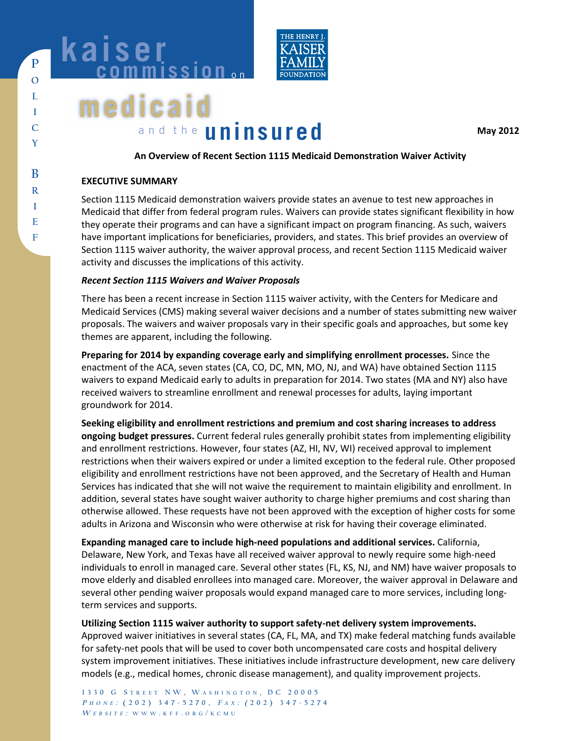

# **medicaid** and the **uninsured**

**May 2012** 

# **An Overview of Recent Section 1115 Medicaid Demonstration Waiver Activity**

## **EXECUTIVE SUMMARY**

Section 1115 Medicaid demonstration waivers provide states an avenue to test new approaches in Medicaid that differ from federal program rules. Waivers can provide states significant flexibility in how they operate their programs and can have a significant impact on program financing. As such, waivers have important implications for beneficiaries, providers, and states. This brief provides an overview of Section 1115 waiver authority, the waiver approval process, and recent Section 1115 Medicaid waiver activity and discusses the implications of this activity.

# *Recent Section 1115 Waivers and Waiver Proposals*

There has been a recent increase in Section 1115 waiver activity, with the Centers for Medicare and Medicaid Services (CMS) making several waiver decisions and a number of states submitting new waiver proposals. The waivers and waiver proposals vary in their specific goals and approaches, but some key themes are apparent, including the following.

**Preparing for 2014 by expanding coverage early and simplifying enrollment processes.** Since the enactment of the ACA, seven states (CA, CO, DC, MN, MO, NJ, and WA) have obtained Section 1115 waivers to expand Medicaid early to adults in preparation for 2014. Two states (MA and NY) also have received waivers to streamline enrollment and renewal processes for adults, laying important groundwork for 2014.

**Seeking eligibility and enrollment restrictions and premium and cost sharing increases to address ongoing budget pressures.** Current federal rules generally prohibit states from implementing eligibility and enrollment restrictions. However, four states (AZ, HI, NV, WI) received approval to implement restrictions when their waivers expired or under a limited exception to the federal rule. Other proposed eligibility and enrollment restrictions have not been approved, and the Secretary of Health and Human Services has indicated that she will not waive the requirement to maintain eligibility and enrollment. In addition, several states have sought waiver authority to charge higher premiums and cost sharing than otherwise allowed. These requests have not been approved with the exception of higher costs for some adults in Arizona and Wisconsin who were otherwise at risk for having their coverage eliminated.

**Expanding managed care to include high-need populations and additional services.** California, Delaware, New York, and Texas have all received waiver approval to newly require some high-need individuals to enroll in managed care. Several other states (FL, KS, NJ, and NM) have waiver proposals to move elderly and disabled enrollees into managed care. Moreover, the waiver approval in Delaware and several other pending waiver proposals would expand managed care to more services, including longterm services and supports.

**Utilizing Section 1115 waiver authority to support safety-net delivery system improvements.** 

Approved waiver initiatives in several states (CA, FL, MA, and TX) make federal matching funds available for safety-net pools that will be used to cover both uncompensated care costs and hospital delivery system improvement initiatives. These initiatives include infrastructure development, new care delivery models (e.g., medical homes, chronic disease management), and quality improvement projects.

**1330 G S TREET NW, W ASHINGTON , DC 20005 <sup>P</sup> HONE : (202) 347-5270, <sup>F</sup> <sup>A</sup> <sup>X</sup> : ( 202) 347-5274**  $\boldsymbol{W}$  **E B SI T E** : **W W W** . **K F F** . **O R G**  $/$  **K C M U** 

**F**

**P**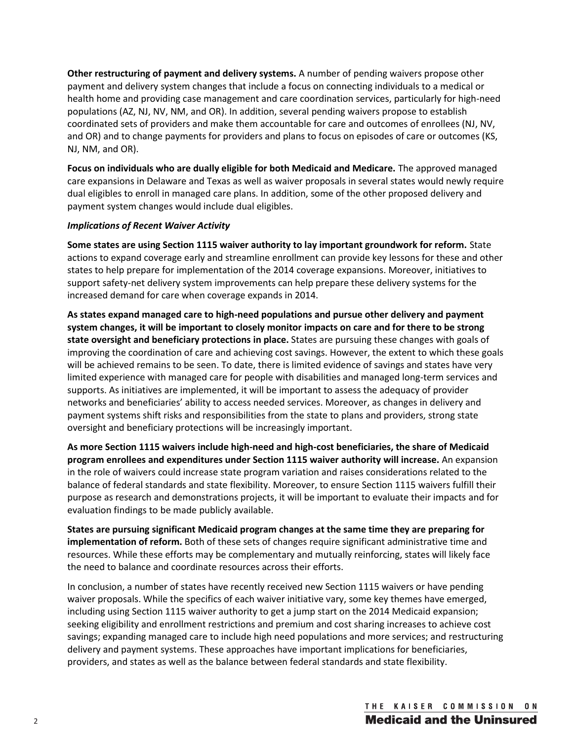**Other restructuring of payment and delivery systems.** A number of pending waivers propose other payment and delivery system changes that include a focus on connecting individuals to a medical or health home and providing case management and care coordination services, particularly for high-need populations (AZ, NJ, NV, NM, and OR). In addition, several pending waivers propose to establish coordinated sets of providers and make them accountable for care and outcomes of enrollees (NJ, NV, and OR) and to change payments for providers and plans to focus on episodes of care or outcomes (KS, NJ, NM, and OR).

**Focus on individuals who are dually eligible for both Medicaid and Medicare.** The approved managed care expansions in Delaware and Texas as well as waiver proposals in several states would newly require dual eligibles to enroll in managed care plans. In addition, some of the other proposed delivery and payment system changes would include dual eligibles.

## *Implications of Recent Waiver Activity*

**Some states are using Section 1115 waiver authority to lay important groundwork for reform.** State actions to expand coverage early and streamline enrollment can provide key lessons for these and other states to help prepare for implementation of the 2014 coverage expansions. Moreover, initiatives to support safety-net delivery system improvements can help prepare these delivery systems for the increased demand for care when coverage expands in 2014.

**As states expand managed care to high-need populations and pursue other delivery and payment system changes, it will be important to closely monitor impacts on care and for there to be strong state oversight and beneficiary protections in place.** States are pursuing these changes with goals of improving the coordination of care and achieving cost savings. However, the extent to which these goals will be achieved remains to be seen. To date, there is limited evidence of savings and states have very limited experience with managed care for people with disabilities and managed long-term services and supports. As initiatives are implemented, it will be important to assess the adequacy of provider networks and beneficiaries' ability to access needed services. Moreover, as changes in delivery and payment systems shift risks and responsibilities from the state to plans and providers, strong state oversight and beneficiary protections will be increasingly important.

**As more Section 1115 waivers include high-need and high-cost beneficiaries, the share of Medicaid program enrollees and expenditures under Section 1115 waiver authority will increase.** An expansion in the role of waivers could increase state program variation and raises considerations related to the balance of federal standards and state flexibility. Moreover, to ensure Section 1115 waivers fulfill their purpose as research and demonstrations projects, it will be important to evaluate their impacts and for evaluation findings to be made publicly available.

**States are pursuing significant Medicaid program changes at the same time they are preparing for implementation of reform.** Both of these sets of changes require significant administrative time and resources. While these efforts may be complementary and mutually reinforcing, states will likely face the need to balance and coordinate resources across their efforts.

In conclusion, a number of states have recently received new Section 1115 waivers or have pending waiver proposals. While the specifics of each waiver initiative vary, some key themes have emerged, including using Section 1115 waiver authority to get a jump start on the 2014 Medicaid expansion; seeking eligibility and enrollment restrictions and premium and cost sharing increases to achieve cost savings; expanding managed care to include high need populations and more services; and restructuring delivery and payment systems. These approaches have important implications for beneficiaries, providers, and states as well as the balance between federal standards and state flexibility.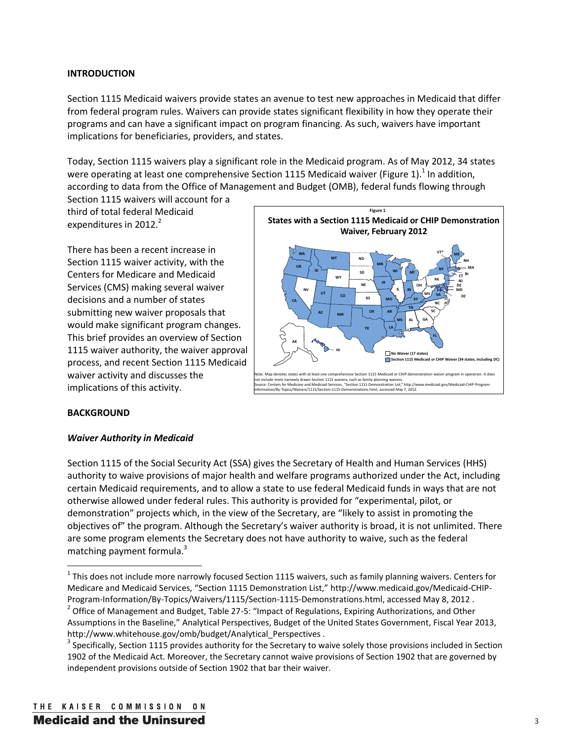# **INTRODUCTION**

Section 1115 Medicaid waivers provide states an avenue to test new approaches in Medicaid that differ from federal program rules. Waivers can provide states significant flexibility in how they operate their programs and can have a significant impact on program financing. As such, waivers have important implications for beneficiaries, providers, and states.

Today, Section 1115 waivers play a significant role in the Medicaid program. As of May 2012, 34 states were operating at least one comprehensive Section 1115 Medicaid waiver (Figure 1).<sup>1</sup> In addition, according to data from the Office of Management and Budget (OMB), federal funds flowing through

Section 1115 waivers will account for a third of total federal Medicaid expenditures in  $2012.<sup>2</sup>$ 

There has been a recent increase in Section 1115 waiver activity, with the Centers for Medicare and Medicaid Services (CMS) making several waiver decisions and a number of states submitting new waiver proposals that would make significant program changes. This brief provides an overview of Section 1115 waiver authority, the waiver approval process, and recent Section 1115 Medicaid waiver activity and discusses the implications of this activity.



## **BACKGROUND**

l

## *Waiver Authority in Medicaid*

Section 1115 of the Social Security Act (SSA) gives the Secretary of Health and Human Services (HHS) authority to waive provisions of major health and welfare programs authorized under the Act, including certain Medicaid requirements, and to allow a state to use federal Medicaid funds in ways that are not otherwise allowed under federal rules. This authority is provided for "experimental, pilot, or demonstration" projects which, in the view of the Secretary, are "likely to assist in promoting the objectives of" the program. Although the Secretary's waiver authority is broad, it is not unlimited. There are some program elements the Secretary does not have authority to waive, such as the federal matching payment formula.<sup>3</sup>

 $^1$  This does not include more narrowly focused Section 1115 waivers, such as family planning waivers. Centers for Medicare and Medicaid Services, "Section 1115 Demonstration List," http://www.medicaid.gov/Medicaid-CHIP-Program-Information/By-Topics/Waivers/1115/Section-1115-Demonstrations.html, accessed May 8, 2012 .

<sup>&</sup>lt;sup>2</sup> Office of Management and Budget, Table 27-5: "Impact of Regulations, Expiring Authorizations, and Other Assumptions in the Baseline," Analytical Perspectives, Budget of the United States Government, Fiscal Year 2013, http://www.whitehouse.gov/omb/budget/Analytical Perspectives .

 $3$  Specifically, Section 1115 provides authority for the Secretary to waive solely those provisions included in Section 1902 of the Medicaid Act. Moreover, the Secretary cannot waive provisions of Section 1902 that are governed by independent provisions outside of Section 1902 that bar their waiver.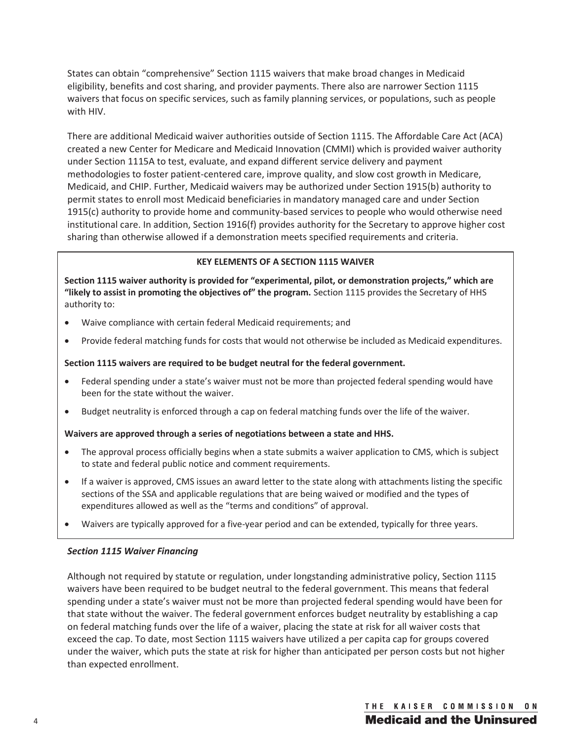States can obtain "comprehensive" Section 1115 waivers that make broad changes in Medicaid eligibility, benefits and cost sharing, and provider payments. There also are narrower Section 1115 waivers that focus on specific services, such as family planning services, or populations, such as people with HIV.

There are additional Medicaid waiver authorities outside of Section 1115. The Affordable Care Act (ACA) created a new Center for Medicare and Medicaid Innovation (CMMI) which is provided waiver authority under Section 1115A to test, evaluate, and expand different service delivery and payment methodologies to foster patient-centered care, improve quality, and slow cost growth in Medicare, Medicaid, and CHIP. Further, Medicaid waivers may be authorized under Section 1915(b) authority to permit states to enroll most Medicaid beneficiaries in mandatory managed care and under Section 1915(c) authority to provide home and community-based services to people who would otherwise need institutional care. In addition, Section 1916(f) provides authority for the Secretary to approve higher cost sharing than otherwise allowed if a demonstration meets specified requirements and criteria.

# **KEY ELEMENTS OF A SECTION 1115 WAIVER**

**Section 1115 waiver authority is provided for "experimental, pilot, or demonstration projects," which are "likely to assist in promoting the objectives of" the program.** Section 1115 provides the Secretary of HHS authority to:

- Waive compliance with certain federal Medicaid requirements; and
- Provide federal matching funds for costs that would not otherwise be included as Medicaid expenditures.

# **Section 1115 waivers are required to be budget neutral for the federal government.**

- Federal spending under a state's waiver must not be more than projected federal spending would have been for the state without the waiver.
- Budget neutrality is enforced through a cap on federal matching funds over the life of the waiver.

## **Waivers are approved through a series of negotiations between a state and HHS.**

- The approval process officially begins when a state submits a waiver application to CMS, which is subject to state and federal public notice and comment requirements.
- If a waiver is approved, CMS issues an award letter to the state along with attachments listing the specific sections of the SSA and applicable regulations that are being waived or modified and the types of expenditures allowed as well as the "terms and conditions" of approval.
- Waivers are typically approved for a five-year period and can be extended, typically for three years.

## *Section 1115 Waiver Financing*

Although not required by statute or regulation, under longstanding administrative policy, Section 1115 waivers have been required to be budget neutral to the federal government. This means that federal spending under a state's waiver must not be more than projected federal spending would have been for that state without the waiver. The federal government enforces budget neutrality by establishing a cap on federal matching funds over the life of a waiver, placing the state at risk for all waiver costs that exceed the cap. To date, most Section 1115 waivers have utilized a per capita cap for groups covered under the waiver, which puts the state at risk for higher than anticipated per person costs but not higher than expected enrollment.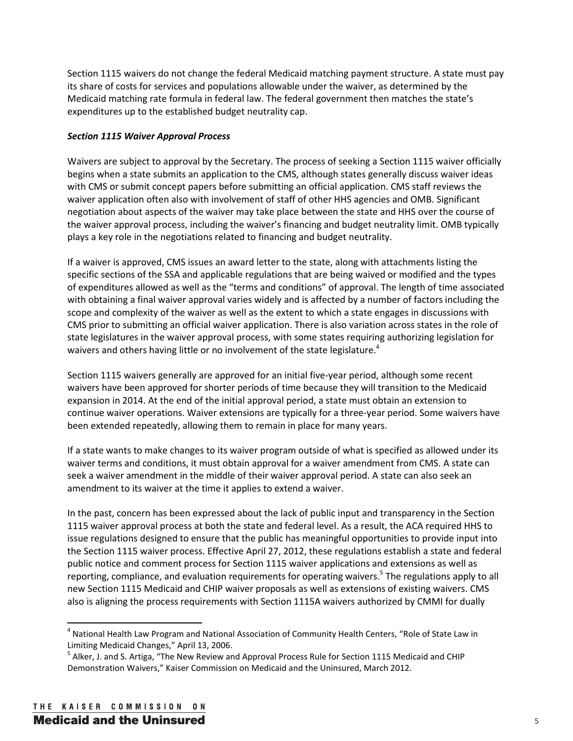Section 1115 waivers do not change the federal Medicaid matching payment structure. A state must pay its share of costs for services and populations allowable under the waiver, as determined by the Medicaid matching rate formula in federal law. The federal government then matches the state's expenditures up to the established budget neutrality cap.

# *Section 1115 Waiver Approval Process*

Waivers are subject to approval by the Secretary. The process of seeking a Section 1115 waiver officially begins when a state submits an application to the CMS, although states generally discuss waiver ideas with CMS or submit concept papers before submitting an official application. CMS staff reviews the waiver application often also with involvement of staff of other HHS agencies and OMB. Significant negotiation about aspects of the waiver may take place between the state and HHS over the course of the waiver approval process, including the waiver's financing and budget neutrality limit. OMB typically plays a key role in the negotiations related to financing and budget neutrality.

If a waiver is approved, CMS issues an award letter to the state, along with attachments listing the specific sections of the SSA and applicable regulations that are being waived or modified and the types of expenditures allowed as well as the "terms and conditions" of approval. The length of time associated with obtaining a final waiver approval varies widely and is affected by a number of factors including the scope and complexity of the waiver as well as the extent to which a state engages in discussions with CMS prior to submitting an official waiver application. There is also variation across states in the role of state legislatures in the waiver approval process, with some states requiring authorizing legislation for waivers and others having little or no involvement of the state legislature.<sup>4</sup>

Section 1115 waivers generally are approved for an initial five-year period, although some recent waivers have been approved for shorter periods of time because they will transition to the Medicaid expansion in 2014. At the end of the initial approval period, a state must obtain an extension to continue waiver operations. Waiver extensions are typically for a three-year period. Some waivers have been extended repeatedly, allowing them to remain in place for many years.

If a state wants to make changes to its waiver program outside of what is specified as allowed under its waiver terms and conditions, it must obtain approval for a waiver amendment from CMS. A state can seek a waiver amendment in the middle of their waiver approval period. A state can also seek an amendment to its waiver at the time it applies to extend a waiver.

In the past, concern has been expressed about the lack of public input and transparency in the Section 1115 waiver approval process at both the state and federal level. As a result, the ACA required HHS to issue regulations designed to ensure that the public has meaningful opportunities to provide input into the Section 1115 waiver process. Effective April 27, 2012, these regulations establish a state and federal public notice and comment process for Section 1115 waiver applications and extensions as well as reporting, compliance, and evaluation requirements for operating waivers.<sup>5</sup> The regulations apply to all new Section 1115 Medicaid and CHIP waiver proposals as well as extensions of existing waivers. CMS also is aligning the process requirements with Section 1115A waivers authorized by CMMI for dually

<sup>&</sup>lt;sup>4</sup> National Health Law Program and National Association of Community Health Centers, "Role of State Law in Limiting Medicaid Changes," April 13, 2006.

<sup>&</sup>lt;sup>5</sup> Alker, J. and S. Artiga, "The New Review and Approval Process Rule for Section 1115 Medicaid and CHIP Demonstration Waivers," Kaiser Commission on Medicaid and the Uninsured, March 2012.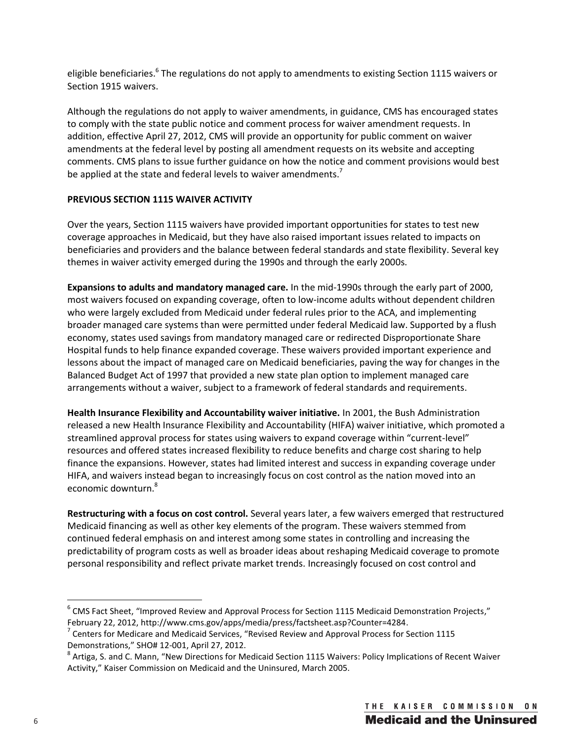eligible beneficiaries.<sup>6</sup> The regulations do not apply to amendments to existing Section 1115 waivers or Section 1915 waivers.

Although the regulations do not apply to waiver amendments, in guidance, CMS has encouraged states to comply with the state public notice and comment process for waiver amendment requests. In addition, effective April 27, 2012, CMS will provide an opportunity for public comment on waiver amendments at the federal level by posting all amendment requests on its website and accepting comments. CMS plans to issue further guidance on how the notice and comment provisions would best be applied at the state and federal levels to waiver amendments.<sup>7</sup>

# **PREVIOUS SECTION 1115 WAIVER ACTIVITY**

Over the years, Section 1115 waivers have provided important opportunities for states to test new coverage approaches in Medicaid, but they have also raised important issues related to impacts on beneficiaries and providers and the balance between federal standards and state flexibility. Several key themes in waiver activity emerged during the 1990s and through the early 2000s.

**Expansions to adults and mandatory managed care.** In the mid-1990s through the early part of 2000, most waivers focused on expanding coverage, often to low-income adults without dependent children who were largely excluded from Medicaid under federal rules prior to the ACA, and implementing broader managed care systems than were permitted under federal Medicaid law. Supported by a flush economy, states used savings from mandatory managed care or redirected Disproportionate Share Hospital funds to help finance expanded coverage. These waivers provided important experience and lessons about the impact of managed care on Medicaid beneficiaries, paving the way for changes in the Balanced Budget Act of 1997 that provided a new state plan option to implement managed care arrangements without a waiver, subject to a framework of federal standards and requirements.

**Health Insurance Flexibility and Accountability waiver initiative.** In 2001, the Bush Administration released a new Health Insurance Flexibility and Accountability (HIFA) waiver initiative, which promoted a streamlined approval process for states using waivers to expand coverage within "current-level" resources and offered states increased flexibility to reduce benefits and charge cost sharing to help finance the expansions. However, states had limited interest and success in expanding coverage under HIFA, and waivers instead began to increasingly focus on cost control as the nation moved into an economic downturn.<sup>8</sup>

**Restructuring with a focus on cost control.** Several years later, a few waivers emerged that restructured Medicaid financing as well as other key elements of the program. These waivers stemmed from continued federal emphasis on and interest among some states in controlling and increasing the predictability of program costs as well as broader ideas about reshaping Medicaid coverage to promote personal responsibility and reflect private market trends. Increasingly focused on cost control and

 $^6$  CMS Fact Sheet, "Improved Review and Approval Process for Section 1115 Medicaid Demonstration Projects," February 22, 2012, http://www.cms.gov/apps/media/press/factsheet.asp?Counter=4284.

 $7$  Centers for Medicare and Medicaid Services, "Revised Review and Approval Process for Section 1115 Demonstrations," SHO# 12-001, April 27, 2012. 8

 $^8$  Artiga, S. and C. Mann, "New Directions for Medicaid Section 1115 Waivers: Policy Implications of Recent Waiver Activity," Kaiser Commission on Medicaid and the Uninsured, March 2005.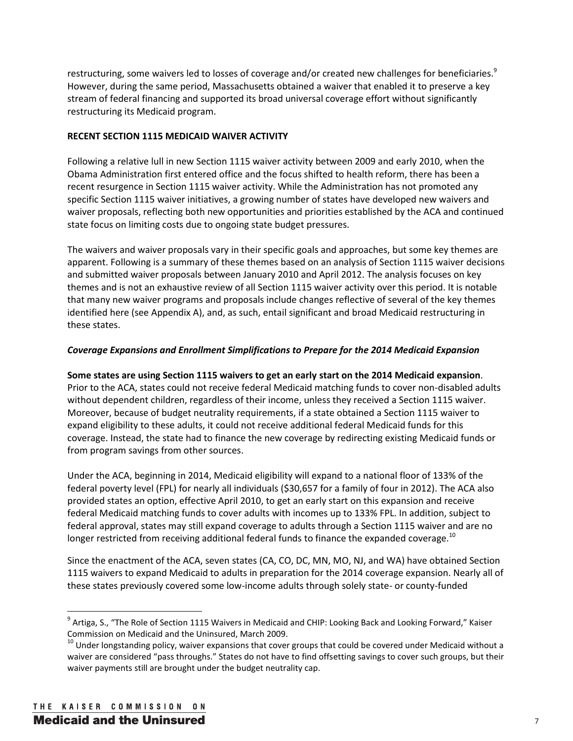restructuring, some waivers led to losses of coverage and/or created new challenges for beneficiaries.<sup>9</sup> However, during the same period, Massachusetts obtained a waiver that enabled it to preserve a key stream of federal financing and supported its broad universal coverage effort without significantly restructuring its Medicaid program.

# **RECENT SECTION 1115 MEDICAID WAIVER ACTIVITY**

Following a relative lull in new Section 1115 waiver activity between 2009 and early 2010, when the Obama Administration first entered office and the focus shifted to health reform, there has been a recent resurgence in Section 1115 waiver activity. While the Administration has not promoted any specific Section 1115 waiver initiatives, a growing number of states have developed new waivers and waiver proposals, reflecting both new opportunities and priorities established by the ACA and continued state focus on limiting costs due to ongoing state budget pressures.

The waivers and waiver proposals vary in their specific goals and approaches, but some key themes are apparent. Following is a summary of these themes based on an analysis of Section 1115 waiver decisions and submitted waiver proposals between January 2010 and April 2012. The analysis focuses on key themes and is not an exhaustive review of all Section 1115 waiver activity over this period. It is notable that many new waiver programs and proposals include changes reflective of several of the key themes identified here (see Appendix A), and, as such, entail significant and broad Medicaid restructuring in these states.

# *Coverage Expansions and Enrollment Simplifications to Prepare for the 2014 Medicaid Expansion*

**Some states are using Section 1115 waivers to get an early start on the 2014 Medicaid expansion**. Prior to the ACA, states could not receive federal Medicaid matching funds to cover non-disabled adults without dependent children, regardless of their income, unless they received a Section 1115 waiver. Moreover, because of budget neutrality requirements, if a state obtained a Section 1115 waiver to expand eligibility to these adults, it could not receive additional federal Medicaid funds for this coverage. Instead, the state had to finance the new coverage by redirecting existing Medicaid funds or from program savings from other sources.

Under the ACA, beginning in 2014, Medicaid eligibility will expand to a national floor of 133% of the federal poverty level (FPL) for nearly all individuals (\$30,657 for a family of four in 2012). The ACA also provided states an option, effective April 2010, to get an early start on this expansion and receive federal Medicaid matching funds to cover adults with incomes up to 133% FPL. In addition, subject to federal approval, states may still expand coverage to adults through a Section 1115 waiver and are no longer restricted from receiving additional federal funds to finance the expanded coverage.<sup>10</sup>

Since the enactment of the ACA, seven states (CA, CO, DC, MN, MO, NJ, and WA) have obtained Section 1115 waivers to expand Medicaid to adults in preparation for the 2014 coverage expansion. Nearly all of these states previously covered some low-income adults through solely state- or county-funded

<sup>&</sup>lt;sup>9</sup> Artiga, S., "The Role of Section 1115 Waivers in Medicaid and CHIP: Looking Back and Looking Forward," Kaiser Commission on Medicaid and the Uninsured, March 2009.

 $10$  Under longstanding policy, waiver expansions that cover groups that could be covered under Medicaid without a waiver are considered "pass throughs." States do not have to find offsetting savings to cover such groups, but their waiver payments still are brought under the budget neutrality cap.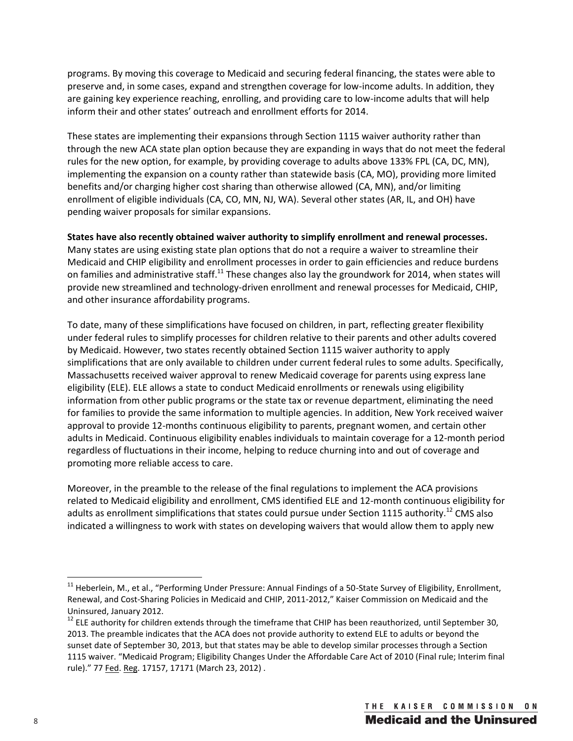programs. By moving this coverage to Medicaid and securing federal financing, the states were able to preserve and, in some cases, expand and strengthen coverage for low-income adults. In addition, they are gaining key experience reaching, enrolling, and providing care to low-income adults that will help inform their and other states' outreach and enrollment efforts for 2014.

These states are implementing their expansions through Section 1115 waiver authority rather than through the new ACA state plan option because they are expanding in ways that do not meet the federal rules for the new option, for example, by providing coverage to adults above 133% FPL (CA, DC, MN), implementing the expansion on a county rather than statewide basis (CA, MO), providing more limited benefits and/or charging higher cost sharing than otherwise allowed (CA, MN), and/or limiting enrollment of eligible individuals (CA, CO, MN, NJ, WA). Several other states (AR, IL, and OH) have pending waiver proposals for similar expansions.

## **States have also recently obtained waiver authority to simplify enrollment and renewal processes.**

Many states are using existing state plan options that do not a require a waiver to streamline their Medicaid and CHIP eligibility and enrollment processes in order to gain efficiencies and reduce burdens on families and administrative staff.<sup>11</sup> These changes also lay the groundwork for 2014, when states will provide new streamlined and technology-driven enrollment and renewal processes for Medicaid, CHIP, and other insurance affordability programs.

To date, many of these simplifications have focused on children, in part, reflecting greater flexibility under federal rules to simplify processes for children relative to their parents and other adults covered by Medicaid. However, two states recently obtained Section 1115 waiver authority to apply simplifications that are only available to children under current federal rules to some adults. Specifically, Massachusetts received waiver approval to renew Medicaid coverage for parents using express lane eligibility (ELE). ELE allows a state to conduct Medicaid enrollments or renewals using eligibility information from other public programs or the state tax or revenue department, eliminating the need for families to provide the same information to multiple agencies. In addition, New York received waiver approval to provide 12-months continuous eligibility to parents, pregnant women, and certain other adults in Medicaid. Continuous eligibility enables individuals to maintain coverage for a 12-month period regardless of fluctuations in their income, helping to reduce churning into and out of coverage and promoting more reliable access to care.

Moreover, in the preamble to the release of the final regulations to implement the ACA provisions related to Medicaid eligibility and enrollment, CMS identified ELE and 12-month continuous eligibility for adults as enrollment simplifications that states could pursue under Section 1115 authority.<sup>12</sup> CMS also indicated a willingness to work with states on developing waivers that would allow them to apply new

<sup>&</sup>lt;sup>11</sup> Heberlein, M., et al., "Performing Under Pressure: Annual Findings of a 50-State Survey of Eligibility, Enrollment, Renewal, and Cost-Sharing Policies in Medicaid and CHIP, 2011-2012," Kaiser Commission on Medicaid and the Uninsured, January 2012.

 $12$  ELE authority for children extends through the timeframe that CHIP has been reauthorized, until September 30, 2013. The preamble indicates that the ACA does not provide authority to extend ELE to adults or beyond the sunset date of September 30, 2013, but that states may be able to develop similar processes through a Section 1115 waiver. "Medicaid Program; Eligibility Changes Under the Affordable Care Act of 2010 (Final rule; Interim final rule)." 77 Fed. Reg. 17157, 17171 (March 23, 2012) .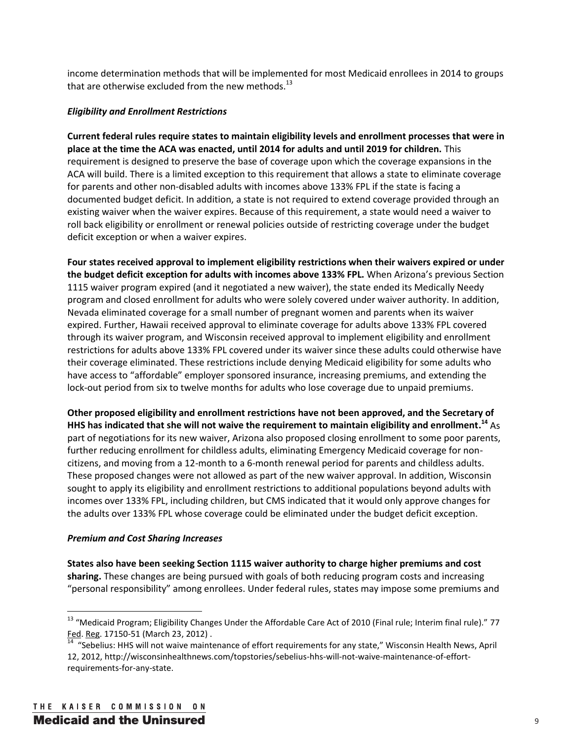income determination methods that will be implemented for most Medicaid enrollees in 2014 to groups that are otherwise excluded from the new methods. $^{13}$ 

# *Eligibility and Enrollment Restrictions*

**Current federal rules require states to maintain eligibility levels and enrollment processes that were in place at the time the ACA was enacted, until 2014 for adults and until 2019 for children.** This requirement is designed to preserve the base of coverage upon which the coverage expansions in the ACA will build. There is a limited exception to this requirement that allows a state to eliminate coverage for parents and other non-disabled adults with incomes above 133% FPL if the state is facing a documented budget deficit. In addition, a state is not required to extend coverage provided through an existing waiver when the waiver expires. Because of this requirement, a state would need a waiver to roll back eligibility or enrollment or renewal policies outside of restricting coverage under the budget deficit exception or when a waiver expires.

**Four states received approval to implement eligibility restrictions when their waivers expired or under the budget deficit exception for adults with incomes above 133% FPL.** When Arizona's previous Section 1115 waiver program expired (and it negotiated a new waiver), the state ended its Medically Needy program and closed enrollment for adults who were solely covered under waiver authority. In addition, Nevada eliminated coverage for a small number of pregnant women and parents when its waiver expired. Further, Hawaii received approval to eliminate coverage for adults above 133% FPL covered through its waiver program, and Wisconsin received approval to implement eligibility and enrollment restrictions for adults above 133% FPL covered under its waiver since these adults could otherwise have their coverage eliminated. These restrictions include denying Medicaid eligibility for some adults who have access to "affordable" employer sponsored insurance, increasing premiums, and extending the lock-out period from six to twelve months for adults who lose coverage due to unpaid premiums.

**Other proposed eligibility and enrollment restrictions have not been approved, and the Secretary of HHS has indicated that she will not waive the requirement to maintain eligibility and enrollment.14** As part of negotiations for its new waiver, Arizona also proposed closing enrollment to some poor parents, further reducing enrollment for childless adults, eliminating Emergency Medicaid coverage for noncitizens, and moving from a 12-month to a 6-month renewal period for parents and childless adults. These proposed changes were not allowed as part of the new waiver approval. In addition, Wisconsin sought to apply its eligibility and enrollment restrictions to additional populations beyond adults with incomes over 133% FPL, including children, but CMS indicated that it would only approve changes for the adults over 133% FPL whose coverage could be eliminated under the budget deficit exception.

## *Premium and Cost Sharing Increases*

**States also have been seeking Section 1115 waiver authority to charge higher premiums and cost sharing.** These changes are being pursued with goals of both reducing program costs and increasing "personal responsibility" among enrollees. Under federal rules, states may impose some premiums and

<sup>&</sup>lt;sup>13</sup> "Medicaid Program; Eligibility Changes Under the Affordable Care Act of 2010 (Final rule; Interim final rule)." 77 Fed. Reg. 17150-51 (March 23, 2012) .<br><sup>14</sup> "Sebelius: HHS will not waive maintenance of effort requirements for any state," Wisconsin Health News, April

<sup>12, 2012,</sup> http://wisconsinhealthnews.com/topstories/sebelius-hhs-will-not-waive-maintenance-of-effortrequirements-for-any-state.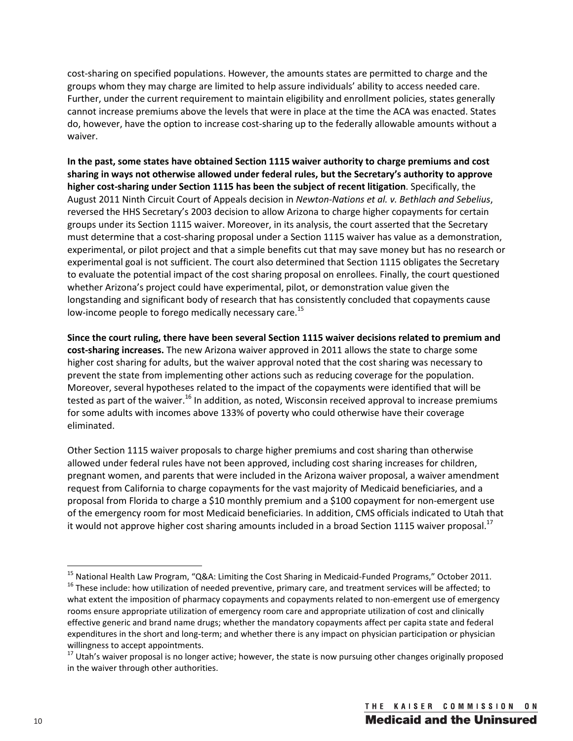cost-sharing on specified populations. However, the amounts states are permitted to charge and the groups whom they may charge are limited to help assure individuals' ability to access needed care. Further, under the current requirement to maintain eligibility and enrollment policies, states generally cannot increase premiums above the levels that were in place at the time the ACA was enacted. States do, however, have the option to increase cost-sharing up to the federally allowable amounts without a waiver.

**In the past, some states have obtained Section 1115 waiver authority to charge premiums and cost sharing in ways not otherwise allowed under federal rules, but the Secretary's authority to approve higher cost-sharing under Section 1115 has been the subject of recent litigation**. Specifically, the August 2011 Ninth Circuit Court of Appeals decision in *Newton-Nations et al. v. Bethlach and Sebelius*, reversed the HHS Secretary's 2003 decision to allow Arizona to charge higher copayments for certain groups under its Section 1115 waiver. Moreover, in its analysis, the court asserted that the Secretary must determine that a cost-sharing proposal under a Section 1115 waiver has value as a demonstration, experimental, or pilot project and that a simple benefits cut that may save money but has no research or experimental goal is not sufficient. The court also determined that Section 1115 obligates the Secretary to evaluate the potential impact of the cost sharing proposal on enrollees. Finally, the court questioned whether Arizona's project could have experimental, pilot, or demonstration value given the longstanding and significant body of research that has consistently concluded that copayments cause low-income people to forego medically necessary care.<sup>15</sup>

**Since the court ruling, there have been several Section 1115 waiver decisions related to premium and cost-sharing increases.** The new Arizona waiver approved in 2011 allows the state to charge some higher cost sharing for adults, but the waiver approval noted that the cost sharing was necessary to prevent the state from implementing other actions such as reducing coverage for the population. Moreover, several hypotheses related to the impact of the copayments were identified that will be tested as part of the waiver.<sup>16</sup> In addition, as noted, Wisconsin received approval to increase premiums for some adults with incomes above 133% of poverty who could otherwise have their coverage eliminated.

Other Section 1115 waiver proposals to charge higher premiums and cost sharing than otherwise allowed under federal rules have not been approved, including cost sharing increases for children, pregnant women, and parents that were included in the Arizona waiver proposal, a waiver amendment request from California to charge copayments for the vast majority of Medicaid beneficiaries, and a proposal from Florida to charge a \$10 monthly premium and a \$100 copayment for non-emergent use of the emergency room for most Medicaid beneficiaries. In addition, CMS officials indicated to Utah that it would not approve higher cost sharing amounts included in a broad Section 1115 waiver proposal.<sup>17</sup>

<sup>&</sup>lt;sup>15</sup> National Health Law Program, "Q&A: Limiting the Cost Sharing in Medicaid-Funded Programs," October 2011.<br><sup>16</sup> These include: how utilization of needed preventive, primary care, and treatment services will be affected

what extent the imposition of pharmacy copayments and copayments related to non-emergent use of emergency rooms ensure appropriate utilization of emergency room care and appropriate utilization of cost and clinically effective generic and brand name drugs; whether the mandatory copayments affect per capita state and federal expenditures in the short and long-term; and whether there is any impact on physician participation or physician willingness to accept appointments.

 $17$  Utah's waiver proposal is no longer active; however, the state is now pursuing other changes originally proposed in the waiver through other authorities.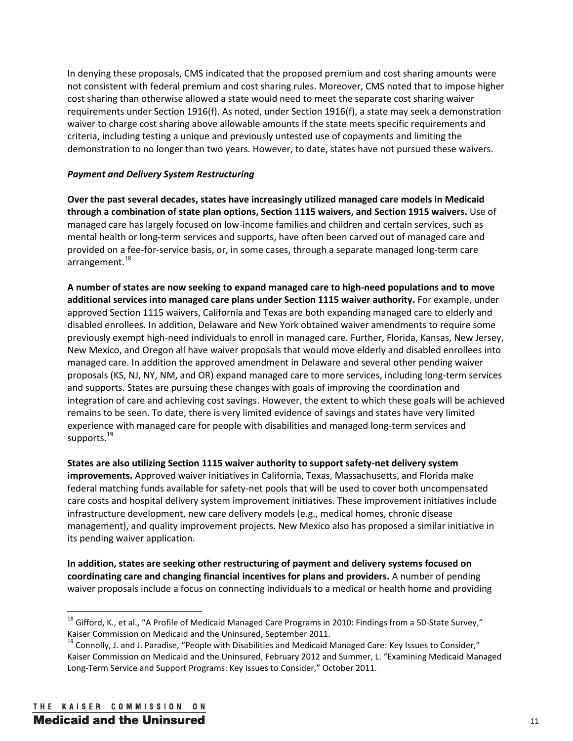In denying these proposals, CMS indicated that the proposed premium and cost sharing amounts were not consistent with federal premium and cost sharing rules. Moreover, CMS noted that to impose higher cost sharing than otherwise allowed a state would need to meet the separate cost sharing waiver requirements under Section 1916(f). As noted, under Section 1916(f), a state may seek a demonstration waiver to charge cost sharing above allowable amounts if the state meets specific requirements and criteria, including testing a unique and previously untested use of copayments and limiting the demonstration to no longer than two years. However, to date, states have not pursued these waivers.

## *Payment and Delivery System Restructuring*

**Over the past several decades, states have increasingly utilized managed care models in Medicaid through a combination of state plan options, Section 1115 waivers, and Section 1915 waivers.** Use of managed care has largely focused on low-income families and children and certain services, such as mental health or long-term services and supports, have often been carved out of managed care and provided on a fee-for-service basis, or, in some cases, through a separate managed long-term care arrangement. $^{18}$ 

**A number of states are now seeking to expand managed care to high-need populations and to move additional services into managed care plans under Section 1115 waiver authority.** For example, under approved Section 1115 waivers, California and Texas are both expanding managed care to elderly and disabled enrollees. In addition, Delaware and New York obtained waiver amendments to require some previously exempt high-need individuals to enroll in managed care. Further, Florida, Kansas, New Jersey, New Mexico, and Oregon all have waiver proposals that would move elderly and disabled enrollees into managed care. In addition the approved amendment in Delaware and several other pending waiver proposals (KS, NJ, NY, NM, and OR) expand managed care to more services, including long-term services and supports. States are pursuing these changes with goals of improving the coordination and integration of care and achieving cost savings. However, the extent to which these goals will be achieved remains to be seen. To date, there is very limited evidence of savings and states have very limited experience with managed care for people with disabilities and managed long-term services and supports.<sup>19</sup>

**States are also utilizing Section 1115 waiver authority to support safety-net delivery system improvements.** Approved waiver initiatives in California, Texas, Massachusetts, and Florida make federal matching funds available for safety-net pools that will be used to cover both uncompensated care costs and hospital delivery system improvement initiatives. These improvement initiatives include infrastructure development, new care delivery models (e.g., medical homes, chronic disease management), and quality improvement projects. New Mexico also has proposed a similar initiative in its pending waiver application.

**In addition, states are seeking other restructuring of payment and delivery systems focused on coordinating care and changing financial incentives for plans and providers.** A number of pending waiver proposals include a focus on connecting individuals to a medical or health home and providing

 $18$  Gifford, K., et al., "A Profile of Medicaid Managed Care Programs in 2010: Findings from a 50-State Survey," Kaiser Commission on Medicaid and the Uninsured, September 2011.

 $19$  Connolly, J. and J. Paradise, "People with Disabilities and Medicaid Managed Care: Key Issues to Consider," Kaiser Commission on Medicaid and the Uninsured, February 2012 and Summer, L. "Examining Medicaid Managed Long-Term Service and Support Programs: Key Issues to Consider," October 2011.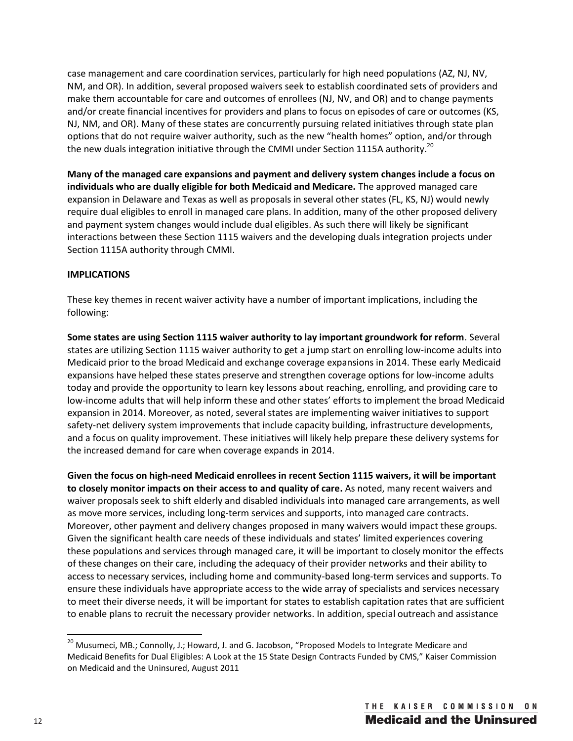case management and care coordination services, particularly for high need populations (AZ, NJ, NV, NM, and OR). In addition, several proposed waivers seek to establish coordinated sets of providers and make them accountable for care and outcomes of enrollees (NJ, NV, and OR) and to change payments and/or create financial incentives for providers and plans to focus on episodes of care or outcomes (KS, NJ, NM, and OR). Many of these states are concurrently pursuing related initiatives through state plan options that do not require waiver authority, such as the new "health homes" option, and/or through the new duals integration initiative through the CMMI under Section 1115A authority.<sup>20</sup>

**Many of the managed care expansions and payment and delivery system changes include a focus on individuals who are dually eligible for both Medicaid and Medicare.** The approved managed care expansion in Delaware and Texas as well as proposals in several other states (FL, KS, NJ) would newly require dual eligibles to enroll in managed care plans. In addition, many of the other proposed delivery and payment system changes would include dual eligibles. As such there will likely be significant interactions between these Section 1115 waivers and the developing duals integration projects under Section 1115A authority through CMMI.

# **IMPLICATIONS**

These key themes in recent waiver activity have a number of important implications, including the following:

**Some states are using Section 1115 waiver authority to lay important groundwork for reform**. Several states are utilizing Section 1115 waiver authority to get a jump start on enrolling low-income adults into Medicaid prior to the broad Medicaid and exchange coverage expansions in 2014. These early Medicaid expansions have helped these states preserve and strengthen coverage options for low-income adults today and provide the opportunity to learn key lessons about reaching, enrolling, and providing care to low-income adults that will help inform these and other states' efforts to implement the broad Medicaid expansion in 2014. Moreover, as noted, several states are implementing waiver initiatives to support safety-net delivery system improvements that include capacity building, infrastructure developments, and a focus on quality improvement. These initiatives will likely help prepare these delivery systems for the increased demand for care when coverage expands in 2014.

**Given the focus on high-need Medicaid enrollees in recent Section 1115 waivers, it will be important to closely monitor impacts on their access to and quality of care.** As noted, many recent waivers and waiver proposals seek to shift elderly and disabled individuals into managed care arrangements, as well as move more services, including long-term services and supports, into managed care contracts. Moreover, other payment and delivery changes proposed in many waivers would impact these groups. Given the significant health care needs of these individuals and states' limited experiences covering these populations and services through managed care, it will be important to closely monitor the effects of these changes on their care, including the adequacy of their provider networks and their ability to access to necessary services, including home and community-based long-term services and supports. To ensure these individuals have appropriate access to the wide array of specialists and services necessary to meet their diverse needs, it will be important for states to establish capitation rates that are sufficient to enable plans to recruit the necessary provider networks. In addition, special outreach and assistance

 $^{20}$  Musumeci, MB.; Connolly, J.; Howard, J. and G. Jacobson, "Proposed Models to Integrate Medicare and Medicaid Benefits for Dual Eligibles: A Look at the 15 State Design Contracts Funded by CMS," Kaiser Commission on Medicaid and the Uninsured, August 2011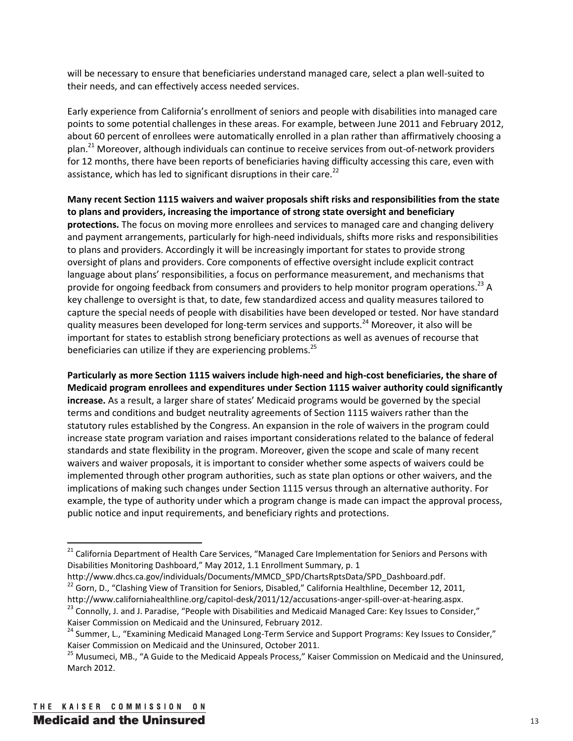will be necessary to ensure that beneficiaries understand managed care, select a plan well-suited to their needs, and can effectively access needed services.

Early experience from California's enrollment of seniors and people with disabilities into managed care points to some potential challenges in these areas. For example, between June 2011 and February 2012, about 60 percent of enrollees were automatically enrolled in a plan rather than affirmatively choosing a plan.<sup>21</sup> Moreover, although individuals can continue to receive services from out-of-network providers for 12 months, there have been reports of beneficiaries having difficulty accessing this care, even with assistance, which has led to significant disruptions in their care.<sup>22</sup>

**Many recent Section 1115 waivers and waiver proposals shift risks and responsibilities from the state to plans and providers, increasing the importance of strong state oversight and beneficiary protections.** The focus on moving more enrollees and services to managed care and changing delivery and payment arrangements, particularly for high-need individuals, shifts more risks and responsibilities to plans and providers. Accordingly it will be increasingly important for states to provide strong oversight of plans and providers. Core components of effective oversight include explicit contract language about plans' responsibilities, a focus on performance measurement, and mechanisms that provide for ongoing feedback from consumers and providers to help monitor program operations.<sup>23</sup> A key challenge to oversight is that, to date, few standardized access and quality measures tailored to capture the special needs of people with disabilities have been developed or tested. Nor have standard quality measures been developed for long-term services and supports.<sup>24</sup> Moreover, it also will be important for states to establish strong beneficiary protections as well as avenues of recourse that beneficiaries can utilize if they are experiencing problems.<sup>25</sup>

**Particularly as more Section 1115 waivers include high-need and high-cost beneficiaries, the share of Medicaid program enrollees and expenditures under Section 1115 waiver authority could significantly increase.** As a result, a larger share of states' Medicaid programs would be governed by the special terms and conditions and budget neutrality agreements of Section 1115 waivers rather than the statutory rules established by the Congress. An expansion in the role of waivers in the program could increase state program variation and raises important considerations related to the balance of federal standards and state flexibility in the program. Moreover, given the scope and scale of many recent waivers and waiver proposals, it is important to consider whether some aspects of waivers could be implemented through other program authorities, such as state plan options or other waivers, and the implications of making such changes under Section 1115 versus through an alternative authority. For example, the type of authority under which a program change is made can impact the approval process, public notice and input requirements, and beneficiary rights and protections.

<sup>&</sup>lt;sup>21</sup> California Department of Health Care Services, "Managed Care Implementation for Seniors and Persons with Disabilities Monitoring Dashboard," May 2012, 1.1 Enrollment Summary, p. 1

http://www.dhcs.ca.gov/individuals/Documents/MMCD\_SPD/ChartsRptsData/SPD\_Dashboard.pdf. <sup>22</sup> Gorn, D., "Clashing View of Transition for Seniors, Disabled," California Healthline, December 12, 2011,

http://www.californiahealthline.org/capitol-desk/2011/12/accusations-anger-spill-over-at-hearing.aspx.<br><sup>23</sup> Connolly, J. and J. Paradise, "People with Disabilities and Medicaid Managed Care: Key Issues to Consider,"

Kaiser Commission on Medicaid and the Uninsured, February 2012.

<sup>&</sup>lt;sup>24</sup> Summer, L., "Examining Medicaid Managed Long-Term Service and Support Programs: Key Issues to Consider," Kaiser Commission on Medicaid and the Uninsured, October 2011.

<sup>&</sup>lt;sup>25</sup> Musumeci, MB., "A Guide to the Medicaid Appeals Process," Kaiser Commission on Medicaid and the Uninsured, March 2012.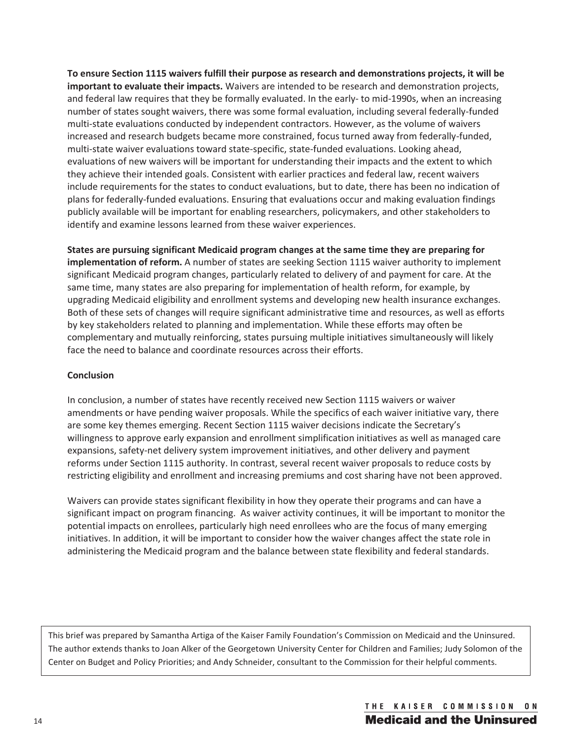**To ensure Section 1115 waivers fulfill their purpose as research and demonstrations projects, it will be important to evaluate their impacts.** Waivers are intended to be research and demonstration projects, and federal law requires that they be formally evaluated. In the early- to mid-1990s, when an increasing number of states sought waivers, there was some formal evaluation, including several federally-funded multi-state evaluations conducted by independent contractors. However, as the volume of waivers increased and research budgets became more constrained, focus turned away from federally-funded, multi-state waiver evaluations toward state-specific, state-funded evaluations. Looking ahead, evaluations of new waivers will be important for understanding their impacts and the extent to which they achieve their intended goals. Consistent with earlier practices and federal law, recent waivers include requirements for the states to conduct evaluations, but to date, there has been no indication of plans for federally-funded evaluations. Ensuring that evaluations occur and making evaluation findings publicly available will be important for enabling researchers, policymakers, and other stakeholders to identify and examine lessons learned from these waiver experiences.

**States are pursuing significant Medicaid program changes at the same time they are preparing for implementation of reform.** A number of states are seeking Section 1115 waiver authority to implement significant Medicaid program changes, particularly related to delivery of and payment for care. At the same time, many states are also preparing for implementation of health reform, for example, by upgrading Medicaid eligibility and enrollment systems and developing new health insurance exchanges. Both of these sets of changes will require significant administrative time and resources, as well as efforts by key stakeholders related to planning and implementation. While these efforts may often be complementary and mutually reinforcing, states pursuing multiple initiatives simultaneously will likely face the need to balance and coordinate resources across their efforts.

## **Conclusion**

In conclusion, a number of states have recently received new Section 1115 waivers or waiver amendments or have pending waiver proposals. While the specifics of each waiver initiative vary, there are some key themes emerging. Recent Section 1115 waiver decisions indicate the Secretary's willingness to approve early expansion and enrollment simplification initiatives as well as managed care expansions, safety-net delivery system improvement initiatives, and other delivery and payment reforms under Section 1115 authority. In contrast, several recent waiver proposals to reduce costs by restricting eligibility and enrollment and increasing premiums and cost sharing have not been approved.

Waivers can provide states significant flexibility in how they operate their programs and can have a significant impact on program financing. As waiver activity continues, it will be important to monitor the potential impacts on enrollees, particularly high need enrollees who are the focus of many emerging initiatives. In addition, it will be important to consider how the waiver changes affect the state role in administering the Medicaid program and the balance between state flexibility and federal standards.

This brief was prepared by Samantha Artiga of the Kaiser Family Foundation's Commission on Medicaid and the Uninsured. The author extends thanks to Joan Alker of the Georgetown University Center for Children and Families; Judy Solomon of the Center on Budget and Policy Priorities; and Andy Schneider, consultant to the Commission for their helpful comments.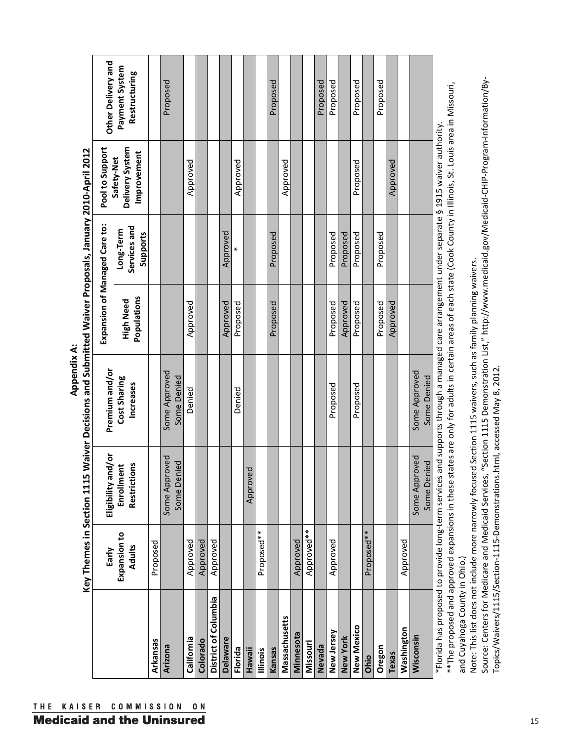|                             | Key Themes in Section 1115             |                                                  | Waiver Decisions and Submitted Waiver Proposals, January 2010-April 2012<br><b>Appendix A:</b> |                                 | Expansion of Managed Care to:         | Pool to Support                              |                                                       |
|-----------------------------|----------------------------------------|--------------------------------------------------|------------------------------------------------------------------------------------------------|---------------------------------|---------------------------------------|----------------------------------------------|-------------------------------------------------------|
|                             | Expansion to<br><b>Adults</b><br>Early | Eligibility and/or<br>Restrictions<br>Enrollment | Premium and/or<br>Cost Sharing<br>Increases                                                    | Populations<br><b>High Need</b> | Services and<br>Long-Term<br>Supports | Delivery System<br>Improvement<br>Safety-Net | Other Delivery and<br>Payment System<br>Restructuring |
| Arkansas                    | Proposed                               |                                                  |                                                                                                |                                 |                                       |                                              |                                                       |
| Arizona                     |                                        | Some Approved<br>Some Denied                     | Some Approved<br>Some Denied                                                                   |                                 |                                       |                                              | Proposed                                              |
| California                  | Approved                               |                                                  | Denied                                                                                         | Approved                        |                                       | Approved                                     |                                                       |
| Colorado                    | Approved                               |                                                  |                                                                                                |                                 |                                       |                                              |                                                       |
| <b>District of Columbia</b> | Approved                               |                                                  |                                                                                                |                                 |                                       |                                              |                                                       |
| <b>Delaware</b>             |                                        |                                                  |                                                                                                | Approved                        | Approved                              |                                              |                                                       |
| Florida                     |                                        |                                                  | Denied                                                                                         | Proposed                        |                                       | Approved                                     |                                                       |
| lllinois<br>Hawaii          | Proposed**                             | ਹੁ<br>Approve                                    |                                                                                                |                                 |                                       |                                              |                                                       |
| Kansas                      |                                        |                                                  |                                                                                                | Proposed                        | Proposed                              |                                              | Proposed                                              |
| Massachusetts               |                                        |                                                  |                                                                                                |                                 |                                       | Approved                                     |                                                       |
| Minnesota                   | Approved                               |                                                  |                                                                                                |                                 |                                       |                                              |                                                       |
| Missouri                    | Approved**                             |                                                  |                                                                                                |                                 |                                       |                                              |                                                       |
| New Jersey<br>Nevada        |                                        |                                                  |                                                                                                |                                 |                                       |                                              | Proposed                                              |
| New York                    | Approved                               |                                                  | Proposed                                                                                       | Approved<br>Proposed            | Proposed<br>Proposed                  |                                              | Proposed                                              |
| New Mexico                  |                                        |                                                  | Proposed                                                                                       | Proposed                        | Proposed                              | Proposed                                     | Proposed                                              |
| Ohio                        | Proposed**                             |                                                  |                                                                                                |                                 |                                       |                                              |                                                       |
| Oregon                      |                                        |                                                  |                                                                                                | Proposed                        | Proposed                              |                                              | Proposed                                              |
| Texas                       |                                        |                                                  |                                                                                                | Approved                        |                                       | Approved                                     |                                                       |
| Washington                  | Approved                               |                                                  |                                                                                                |                                 |                                       |                                              |                                                       |
| Wisconsin                   |                                        | Some Approved<br>Some Denied                     | Some Approved<br>Some Denied                                                                   |                                 |                                       |                                              |                                                       |